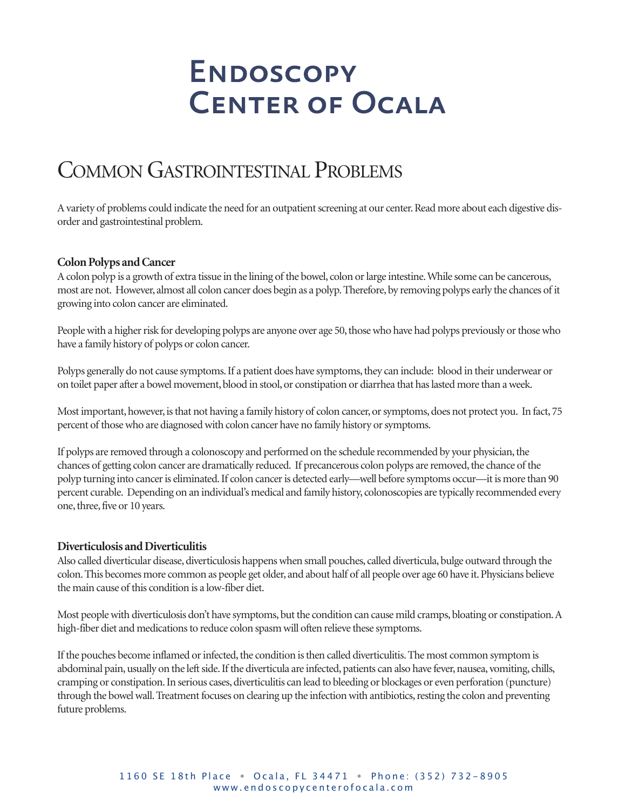## COMMON GASTROINTESTINAL PROBLEMS

A variety of problems could indicate the need for an outpatient screening at our center. Read more about each digestive disorder and gastrointestinal problem.

#### **Colon Polyps and Cancer**

A colon polyp is a growth of extra tissue in the lining of the bowel, colon or large intestine. While some can be cancerous, most are not. However, almost all colon cancer does begin as a polyp. Therefore, by removing polyps early the chances of it growing into colon cancer are eliminated.

People with a higher risk for developing polyps are anyone over age 50, those who have had polyps previously or those who have a family history of polyps or colon cancer.

Polyps generally do not cause symptoms. If a patient does have symptoms, they can include: blood in their underwear or on toilet paper after a bowel movement, blood in stool, or constipation or diarrhea that has lasted more than a week.

Most important, however, is that not having a family history of colon cancer, or symptoms, does not protect you. In fact, 75 percent of those who are diagnosed with colon cancer have no family history or symptoms.

If polyps are removed through a colonoscopy and performed on the schedule recommended by your physician, the chances of getting colon cancer are dramatically reduced. If precancerous colon polyps are removed, the chance of the polyp turning into canceris eliminated.If colon canceris detected early—well before symptoms occur—itis more than 90 percent curable. Depending on an individual's medical and family history, colonoscopies are typically recommended every one, three, five or 10 years.

#### **Diverticulosis andDiverticulitis**

Also called diverticular disease, diverticulosis happens when small pouches, called diverticula, bulge outward through the colon. This becomes more common as people get older, and about half of all people over age 60 have it. Physicians believe the main cause of this condition is a low-fiber diet.

Most people with diverticulosis don't have symptoms, but the condition can cause mild cramps, bloating or constipation. A high-fiber diet and medications to reduce colon spasm will often relieve these symptoms.

If the pouches become inflamed or infected, the condition is then called diverticulitis. The most common symptom is abdominal pain, usually on the left side. If the diverticula are infected, patients can also have fever, nausea, vomiting, chills, cramping or constipation.In serious cases,diverticulitis can lead to bleeding or blockages or even perforation (puncture) through the bowel wall. Treatment focuses on clearing up the infection with antibiotics, resting the colon and preventing future problems.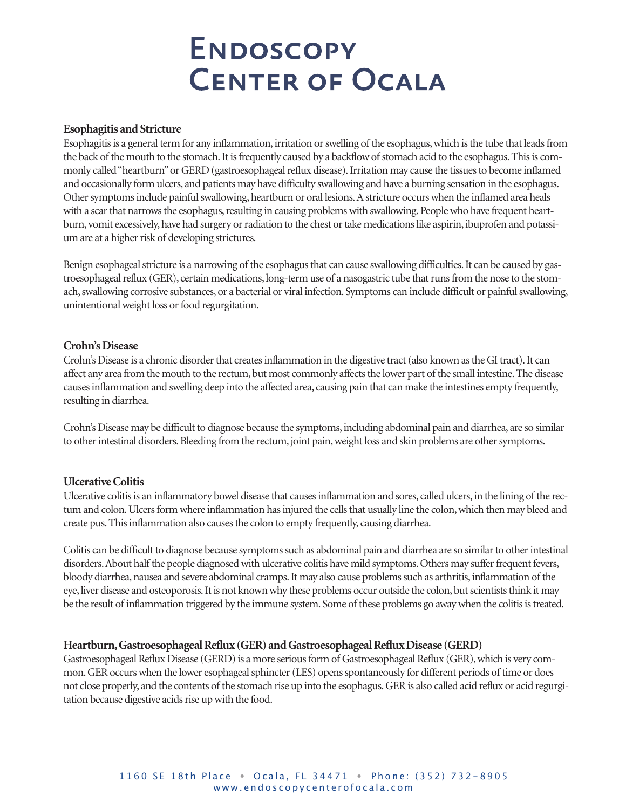#### **Esophagitis** and Stricture

Esophagitis is a general term for any inflammation, irritation or swelling of the esophagus, which is the tube that leads from the back of the mouth to the stomach. It is frequently caused by a backflow of stomach acid to the esophagus. This is commonly called "heartburn" or GERD (gastroesophageal reflux disease). Irritation may cause the tissues to become inflamed and occasionally form ulcers, and patients may have difficulty swallowing and have a burning sensation in the esophagus. Other symptoms include painful swallowing, heartburn or oral lesions. A stricture occurs when the inflamed area heals with a scar that narrows the esophagus, resulting in causing problems with swallowing. People who have frequent heartburn, vomit excessively, have had surgery or radiation to the chest or take medications like aspirin, ibuprofen and potassium are at a higher risk of developing strictures.

Benign esophageal stricture is a narrowing of the esophagus that can cause swallowing difficulties. It can be caused by gastroesophageal reflux (GER), certain medications, long-term use of a nasogastric tube that runs from the nose to the stomach, swallowing corrosive substances, or a bacterial or viral infection. Symptoms can include difficult or painful swallowing, unintentional weight loss or food regurgitation.

#### **Crohn's Disease**

Crohn's Disease is a chronic disorder that creates inflammation in the digestive tract (also known as the GI tract). It can affect any area from the mouth to the rectum, but most commonly affects the lower part of the small intestine. The disease causesinflammation and swelling deep into the affected area, causing pain that can make the intestines empty frequently, resulting in diarrhea.

Crohn's Disease may be difficult to diagnose because the symptoms,including abdominal pain and diarrhea, are so similar to other intestinal disorders. Bleeding from the rectum, joint pain, weight loss and skin problems are other symptoms.

### **UlcerativeColitis**

Ulcerative colitis is an inflammatory bowel disease that causes inflammation and sores, called ulcers, in the lining of the rectum and colon. Ulcers form where inflammation has injured the cells that usually line the colon, which then may bleed and create pus.Thisinflammation also causesthe colon to empty frequently, causing diarrhea.

Colitis can be difficult to diagnose because symptoms such as abdominal pain and diarrhea are so similar to other intestinal disorders. About half the people diagnosed with ulcerative colitis have mild symptoms. Others may suffer frequent fevers, bloody diarrhea, nausea and severe abdominal cramps. It may also cause problems such as arthritis, inflammation of the eye, liver disease and osteoporosis. It is not known why these problems occur outside the colon, but scientists think it may be the result of inflammation triggered by the immune system. Some of these problems go away when the colitis is treated.

#### **Heartburn,GastroesophagealReflux (GER) andGastroesophagealRefluxDisease (GERD)**

Gastroesophageal Reflux Disease (GERD) is a more serious form of Gastroesophageal Reflux (GER), which is very common. GER occurs when the lower esophageal sphincter (LES) opens spontaneously for different periods of time or does not close properly, and the contents of the stomach rise up into the esophagus.GERis also called acid reflux or acid regurgitation because digestive acids rise up with the food.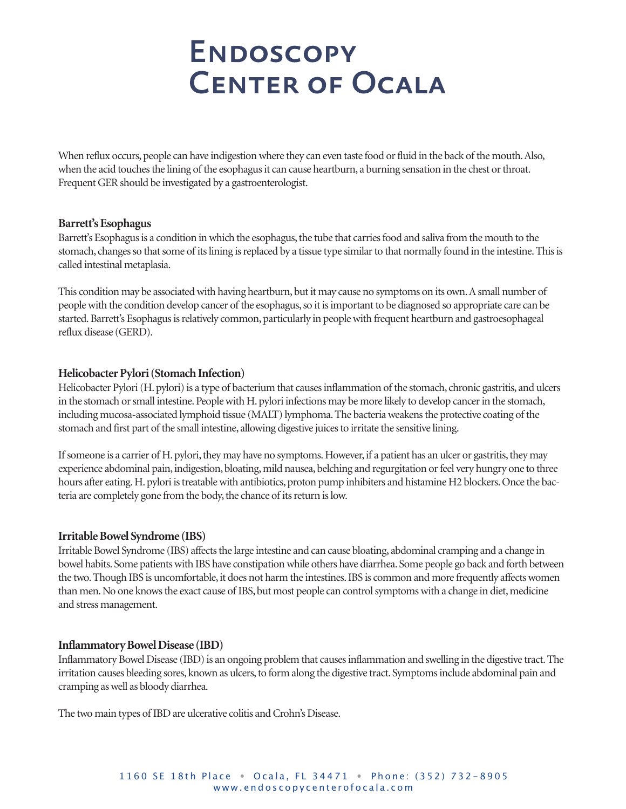When reflux occurs, people can have indigestion where they can even taste food or fluid in the back of the mouth. Also, when the acid touches the lining of the esophagus it can cause heartburn, a burning sensation in the chest or throat. Frequent GER should be investigated by a gastroenterologist.

#### **Barrett'sEsophagus**

Barrett's Esophagus is a condition in which the esophagus, the tube that carries food and saliva from the mouth to the stomach, changes so that some of its lining is replaced by a tissue type similar to that normally found in the intestine. This is called intestinal metaplasia.

This condition may be associated with having heartburn, but it may cause no symptoms on its own. A small number of peoplewith the condition develop cancer of the esophagus,so itisimportant to be diagnosed so appropriate care can be started. Barrett's Esophagus is relatively common, particularly in people with frequent heartburn and gastroesophageal reflux disease (GERD).

### **Helicobacter Pylori (Stomach Infection)**

Helicobacter Pylori (H. pylori) is a type of bacterium that causes inflammation of the stomach, chronic gastritis, and ulcers in the stomach or small intestine. People with H. pylori infections may be more likely to develop cancer in the stomach, including mucosa-associated lymphoid tissue (MALT) lymphoma. The bacteria weakens the protective coating of the stomach and first part of the small intestine, allowing digestive juicesto irritate the sensitive lining.

If someone is a carrier of H. pylori, they may have no symptoms. However, if a patient has an ulcer or gastritis, they may experience abdominal pain, indigestion, bloating, mild nausea, belching and regurgitation or feel very hungry one to three hours after eating. H. pylori is treatable with antibiotics, proton pump inhibiters and histamine H2 blockers. Once the bacteria are completely gone from the body, the chance of its return is low.

### **IrritableBowel Syndrome (IBS)**

Irritable Bowel Syndrome (IBS) affects the large intestine and can cause bloating, abdominal cramping and a change in bowel habits. Some patients with IBS have constipation while others have diarrhea. Some people go back and forth between the two. Though IBS is uncomfortable, it does not harm the intestines. IBS is common and more frequently affects women than men. No one knows the exact cause of IBS, but most people can control symptoms with a change in diet, medicine and stress management.

### **InflammatoryBowelDisease (IBD)**

Inflammatory Bowel Disease (IBD) is an ongoing problem that causes inflammation and swelling in the digestive tract. The irritation causes bleeding sores, known as ulcers,to form along the digestive tract. Symptomsinclude abdominal pain and cramping aswell as bloody diarrhea.

The two main types of IBD are ulcerative colitis and Crohn's Disease.